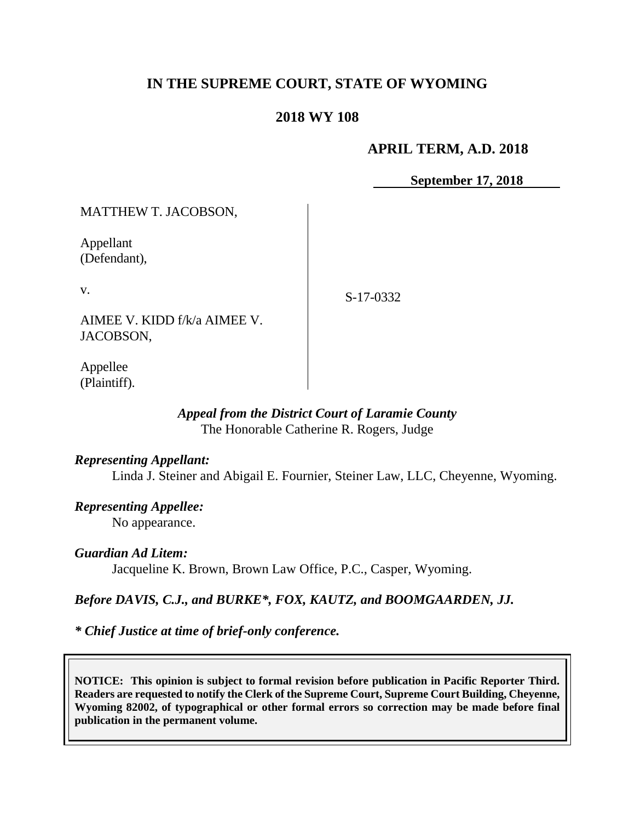# **IN THE SUPREME COURT, STATE OF WYOMING**

# **2018 WY 108**

### **APRIL TERM, A.D. 2018**

**September 17, 2018**

MATTHEW T. JACOBSON,

Appellant (Defendant),

v.

S-17-0332

AIMEE V. KIDD f/k/a AIMEE V. JACOBSON,

Appellee (Plaintiff).

# *Appeal from the District Court of Laramie County* The Honorable Catherine R. Rogers, Judge

*Representing Appellant:*

Linda J. Steiner and Abigail E. Fournier, Steiner Law, LLC, Cheyenne, Wyoming.

*Representing Appellee:* No appearance.

### *Guardian Ad Litem:*

Jacqueline K. Brown, Brown Law Office, P.C., Casper, Wyoming.

### *Before DAVIS, C.J., and BURKE\*, FOX, KAUTZ, and BOOMGAARDEN, JJ.*

*\* Chief Justice at time of brief-only conference.*

**NOTICE: This opinion is subject to formal revision before publication in Pacific Reporter Third. Readers are requested to notify the Clerk of the Supreme Court, Supreme Court Building, Cheyenne, Wyoming 82002, of typographical or other formal errors so correction may be made before final publication in the permanent volume.**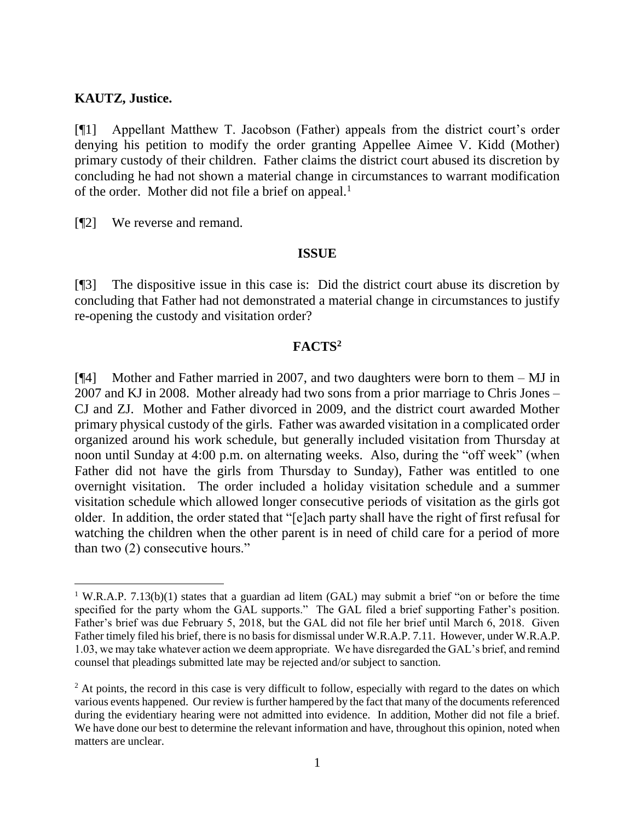#### **KAUTZ, Justice.**

[¶1] Appellant Matthew T. Jacobson (Father) appeals from the district court's order denying his petition to modify the order granting Appellee Aimee V. Kidd (Mother) primary custody of their children. Father claims the district court abused its discretion by concluding he had not shown a material change in circumstances to warrant modification of the order. Mother did not file a brief on appeal.<sup>1</sup>

[¶2] We reverse and remand.

#### **ISSUE**

[¶3] The dispositive issue in this case is: Did the district court abuse its discretion by concluding that Father had not demonstrated a material change in circumstances to justify re-opening the custody and visitation order?

# **FACTS<sup>2</sup>**

[¶4] Mother and Father married in 2007, and two daughters were born to them – MJ in 2007 and KJ in 2008. Mother already had two sons from a prior marriage to Chris Jones – CJ and ZJ. Mother and Father divorced in 2009, and the district court awarded Mother primary physical custody of the girls. Father was awarded visitation in a complicated order organized around his work schedule, but generally included visitation from Thursday at noon until Sunday at 4:00 p.m. on alternating weeks. Also, during the "off week" (when Father did not have the girls from Thursday to Sunday), Father was entitled to one overnight visitation. The order included a holiday visitation schedule and a summer visitation schedule which allowed longer consecutive periods of visitation as the girls got older. In addition, the order stated that "[e]ach party shall have the right of first refusal for watching the children when the other parent is in need of child care for a period of more than two (2) consecutive hours."

<sup>&</sup>lt;sup>1</sup> W.R.A.P. 7.13(b)(1) states that a guardian ad litem (GAL) may submit a brief "on or before the time specified for the party whom the GAL supports." The GAL filed a brief supporting Father's position. Father's brief was due February 5, 2018, but the GAL did not file her brief until March 6, 2018. Given Father timely filed his brief, there is no basis for dismissal under W.R.A.P. 7.11. However, under W.R.A.P. 1.03, we may take whatever action we deem appropriate. We have disregarded the GAL's brief, and remind counsel that pleadings submitted late may be rejected and/or subject to sanction.

<sup>&</sup>lt;sup>2</sup> At points, the record in this case is very difficult to follow, especially with regard to the dates on which various events happened. Our review is further hampered by the fact that many of the documents referenced during the evidentiary hearing were not admitted into evidence. In addition, Mother did not file a brief. We have done our best to determine the relevant information and have, throughout this opinion, noted when matters are unclear.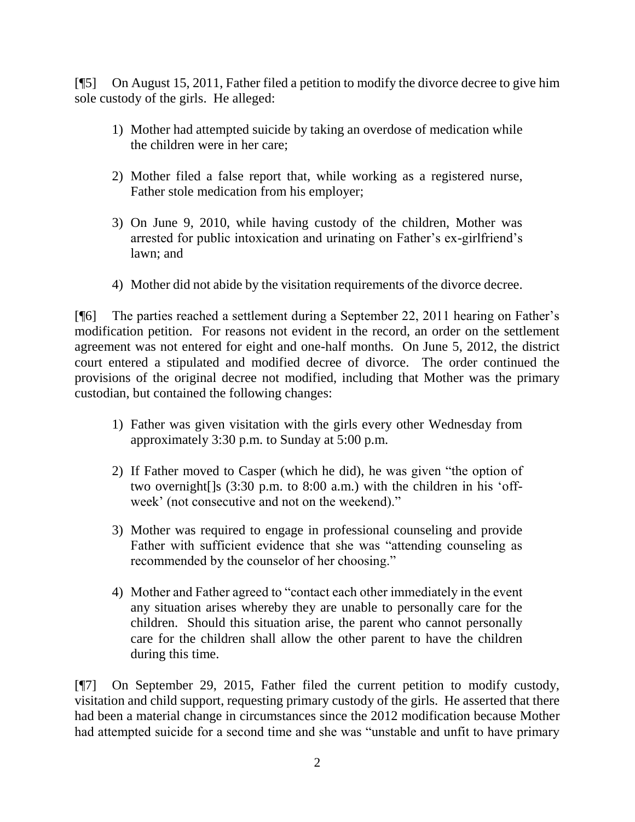[¶5] On August 15, 2011, Father filed a petition to modify the divorce decree to give him sole custody of the girls. He alleged:

- 1) Mother had attempted suicide by taking an overdose of medication while the children were in her care;
- 2) Mother filed a false report that, while working as a registered nurse, Father stole medication from his employer;
- 3) On June 9, 2010, while having custody of the children, Mother was arrested for public intoxication and urinating on Father's ex-girlfriend's lawn; and
- 4) Mother did not abide by the visitation requirements of the divorce decree.

[¶6] The parties reached a settlement during a September 22, 2011 hearing on Father's modification petition. For reasons not evident in the record, an order on the settlement agreement was not entered for eight and one-half months. On June 5, 2012, the district court entered a stipulated and modified decree of divorce. The order continued the provisions of the original decree not modified, including that Mother was the primary custodian, but contained the following changes:

- 1) Father was given visitation with the girls every other Wednesday from approximately 3:30 p.m. to Sunday at 5:00 p.m.
- 2) If Father moved to Casper (which he did), he was given "the option of two overnight[]s (3:30 p.m. to 8:00 a.m.) with the children in his 'offweek' (not consecutive and not on the weekend)."
- 3) Mother was required to engage in professional counseling and provide Father with sufficient evidence that she was "attending counseling as recommended by the counselor of her choosing."
- 4) Mother and Father agreed to "contact each other immediately in the event any situation arises whereby they are unable to personally care for the children. Should this situation arise, the parent who cannot personally care for the children shall allow the other parent to have the children during this time.

[¶7] On September 29, 2015, Father filed the current petition to modify custody, visitation and child support, requesting primary custody of the girls. He asserted that there had been a material change in circumstances since the 2012 modification because Mother had attempted suicide for a second time and she was "unstable and unfit to have primary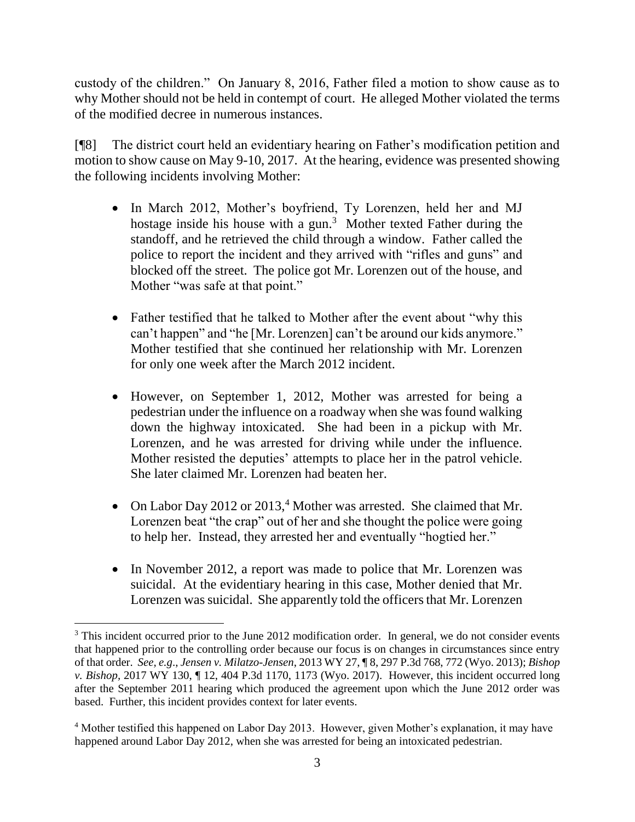custody of the children." On January 8, 2016, Father filed a motion to show cause as to why Mother should not be held in contempt of court. He alleged Mother violated the terms of the modified decree in numerous instances.

[¶8] The district court held an evidentiary hearing on Father's modification petition and motion to show cause on May 9-10, 2017. At the hearing, evidence was presented showing the following incidents involving Mother:

- In March 2012, Mother's boyfriend, Ty Lorenzen, held her and MJ hostage inside his house with a gun.<sup>3</sup> Mother texted Father during the standoff, and he retrieved the child through a window. Father called the police to report the incident and they arrived with "rifles and guns" and blocked off the street. The police got Mr. Lorenzen out of the house, and Mother "was safe at that point."
- Father testified that he talked to Mother after the event about "why this can't happen" and "he [Mr. Lorenzen] can't be around our kids anymore." Mother testified that she continued her relationship with Mr. Lorenzen for only one week after the March 2012 incident.
- However, on September 1, 2012, Mother was arrested for being a pedestrian under the influence on a roadway when she was found walking down the highway intoxicated. She had been in a pickup with Mr. Lorenzen, and he was arrested for driving while under the influence. Mother resisted the deputies' attempts to place her in the patrol vehicle. She later claimed Mr. Lorenzen had beaten her.
- On Labor Day 2012 or 2013,<sup>4</sup> Mother was arrested. She claimed that Mr. Lorenzen beat "the crap" out of her and she thought the police were going to help her. Instead, they arrested her and eventually "hogtied her."
- In November 2012, a report was made to police that Mr. Lorenzen was suicidal. At the evidentiary hearing in this case, Mother denied that Mr. Lorenzen was suicidal. She apparently told the officers that Mr. Lorenzen

<sup>&</sup>lt;sup>3</sup> This incident occurred prior to the June 2012 modification order. In general, we do not consider events that happened prior to the controlling order because our focus is on changes in circumstances since entry of that order. *See, e.g*., *Jensen v. Milatzo-Jensen*, 2013 WY 27, ¶ 8, 297 P.3d 768, 772 (Wyo. 2013); *Bishop v. Bishop,* 2017 WY 130, ¶ 12, 404 P.3d 1170, 1173 (Wyo. 2017). However, this incident occurred long after the September 2011 hearing which produced the agreement upon which the June 2012 order was based. Further, this incident provides context for later events.

<sup>4</sup> Mother testified this happened on Labor Day 2013. However, given Mother's explanation, it may have happened around Labor Day 2012, when she was arrested for being an intoxicated pedestrian.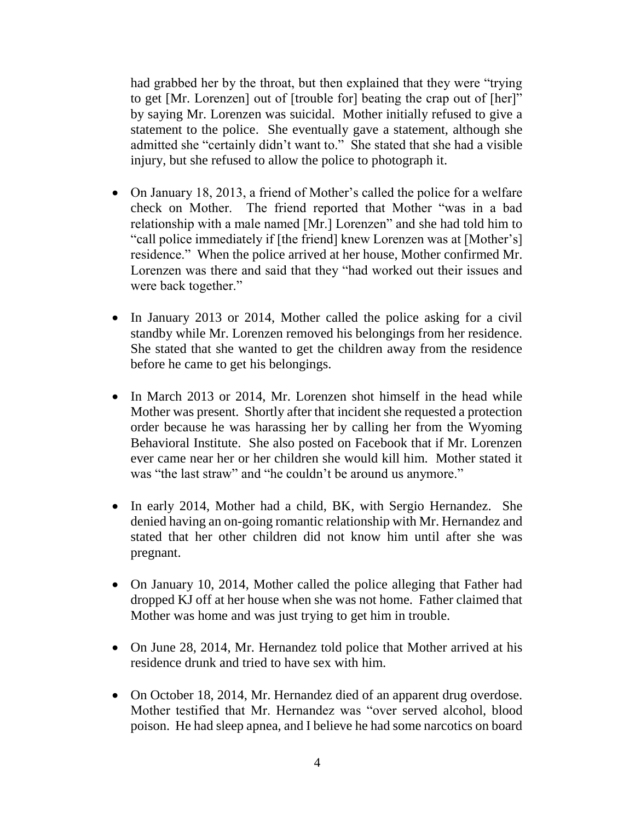had grabbed her by the throat, but then explained that they were "trying to get [Mr. Lorenzen] out of [trouble for] beating the crap out of [her]" by saying Mr. Lorenzen was suicidal. Mother initially refused to give a statement to the police. She eventually gave a statement, although she admitted she "certainly didn't want to." She stated that she had a visible injury, but she refused to allow the police to photograph it.

- On January 18, 2013, a friend of Mother's called the police for a welfare check on Mother. The friend reported that Mother "was in a bad relationship with a male named [Mr.] Lorenzen" and she had told him to "call police immediately if [the friend] knew Lorenzen was at [Mother's] residence." When the police arrived at her house, Mother confirmed Mr. Lorenzen was there and said that they "had worked out their issues and were back together."
- In January 2013 or 2014, Mother called the police asking for a civil standby while Mr. Lorenzen removed his belongings from her residence. She stated that she wanted to get the children away from the residence before he came to get his belongings.
- In March 2013 or 2014, Mr. Lorenzen shot himself in the head while Mother was present. Shortly after that incident she requested a protection order because he was harassing her by calling her from the Wyoming Behavioral Institute. She also posted on Facebook that if Mr. Lorenzen ever came near her or her children she would kill him. Mother stated it was "the last straw" and "he couldn't be around us anymore."
- In early 2014, Mother had a child, BK, with Sergio Hernandez. She denied having an on-going romantic relationship with Mr. Hernandez and stated that her other children did not know him until after she was pregnant.
- On January 10, 2014, Mother called the police alleging that Father had dropped KJ off at her house when she was not home. Father claimed that Mother was home and was just trying to get him in trouble.
- On June 28, 2014, Mr. Hernandez told police that Mother arrived at his residence drunk and tried to have sex with him.
- On October 18, 2014, Mr. Hernandez died of an apparent drug overdose. Mother testified that Mr. Hernandez was "over served alcohol, blood poison. He had sleep apnea, and I believe he had some narcotics on board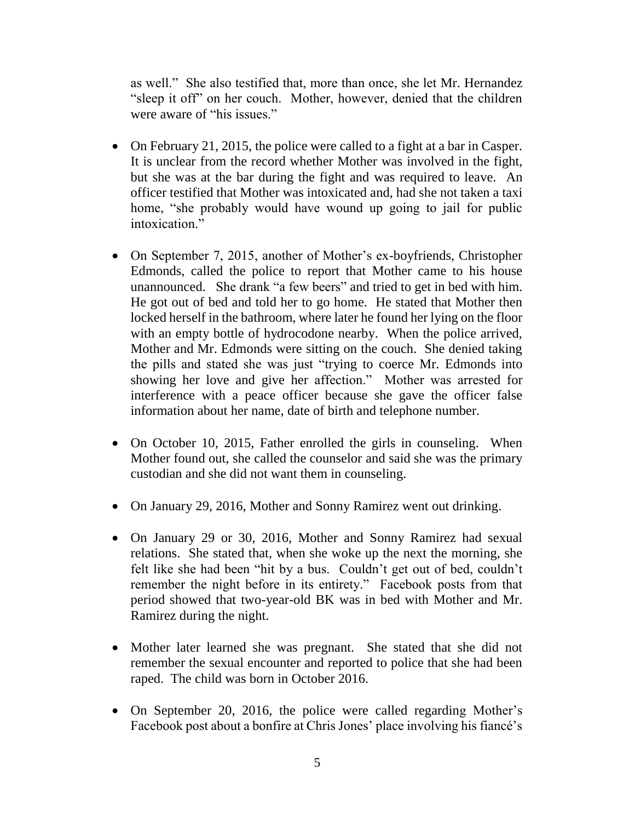as well." She also testified that, more than once, she let Mr. Hernandez "sleep it off" on her couch. Mother, however, denied that the children were aware of "his issues."

- On February 21, 2015, the police were called to a fight at a bar in Casper. It is unclear from the record whether Mother was involved in the fight, but she was at the bar during the fight and was required to leave. An officer testified that Mother was intoxicated and, had she not taken a taxi home, "she probably would have wound up going to jail for public intoxication."
- On September 7, 2015, another of Mother's ex-boyfriends, Christopher Edmonds, called the police to report that Mother came to his house unannounced. She drank "a few beers" and tried to get in bed with him. He got out of bed and told her to go home. He stated that Mother then locked herself in the bathroom, where later he found her lying on the floor with an empty bottle of hydrocodone nearby. When the police arrived, Mother and Mr. Edmonds were sitting on the couch. She denied taking the pills and stated she was just "trying to coerce Mr. Edmonds into showing her love and give her affection." Mother was arrested for interference with a peace officer because she gave the officer false information about her name, date of birth and telephone number.
- On October 10, 2015, Father enrolled the girls in counseling. When Mother found out, she called the counselor and said she was the primary custodian and she did not want them in counseling.
- On January 29, 2016, Mother and Sonny Ramirez went out drinking.
- On January 29 or 30, 2016, Mother and Sonny Ramirez had sexual relations. She stated that, when she woke up the next the morning, she felt like she had been "hit by a bus. Couldn't get out of bed, couldn't remember the night before in its entirety." Facebook posts from that period showed that two-year-old BK was in bed with Mother and Mr. Ramirez during the night.
- Mother later learned she was pregnant. She stated that she did not remember the sexual encounter and reported to police that she had been raped. The child was born in October 2016.
- On September 20, 2016, the police were called regarding Mother's Facebook post about a bonfire at Chris Jones' place involving his fiancé's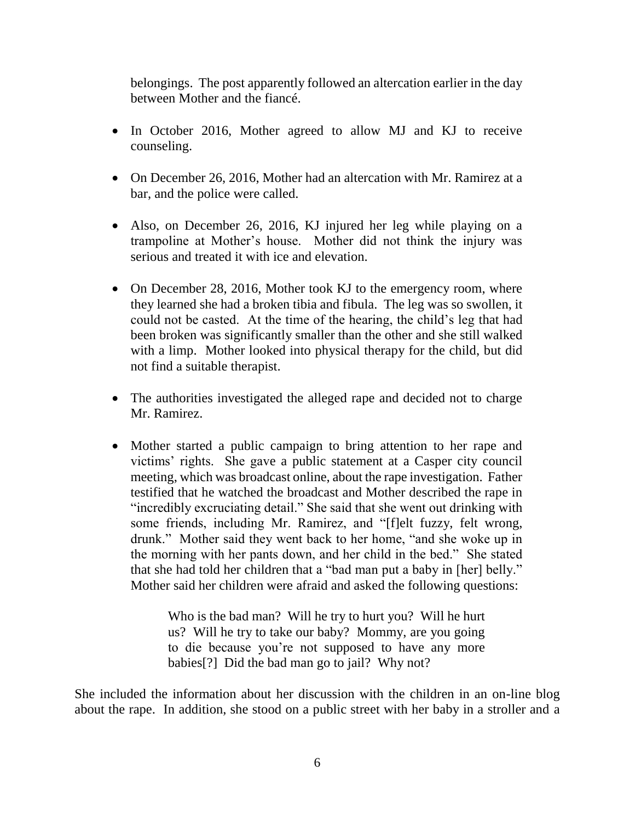belongings. The post apparently followed an altercation earlier in the day between Mother and the fiancé.

- In October 2016, Mother agreed to allow MJ and KJ to receive counseling.
- On December 26, 2016. Mother had an altercation with Mr. Ramirez at a bar, and the police were called.
- Also, on December 26, 2016, KJ injured her leg while playing on a trampoline at Mother's house. Mother did not think the injury was serious and treated it with ice and elevation.
- On December 28, 2016, Mother took KJ to the emergency room, where they learned she had a broken tibia and fibula. The leg was so swollen, it could not be casted. At the time of the hearing, the child's leg that had been broken was significantly smaller than the other and she still walked with a limp. Mother looked into physical therapy for the child, but did not find a suitable therapist.
- The authorities investigated the alleged rape and decided not to charge Mr. Ramirez.
- Mother started a public campaign to bring attention to her rape and victims' rights. She gave a public statement at a Casper city council meeting, which was broadcast online, about the rape investigation. Father testified that he watched the broadcast and Mother described the rape in "incredibly excruciating detail." She said that she went out drinking with some friends, including Mr. Ramirez, and "[f]elt fuzzy, felt wrong, drunk." Mother said they went back to her home, "and she woke up in the morning with her pants down, and her child in the bed." She stated that she had told her children that a "bad man put a baby in [her] belly." Mother said her children were afraid and asked the following questions:

Who is the bad man? Will he try to hurt you? Will he hurt us? Will he try to take our baby? Mommy, are you going to die because you're not supposed to have any more babies[?] Did the bad man go to jail? Why not?

She included the information about her discussion with the children in an on-line blog about the rape. In addition, she stood on a public street with her baby in a stroller and a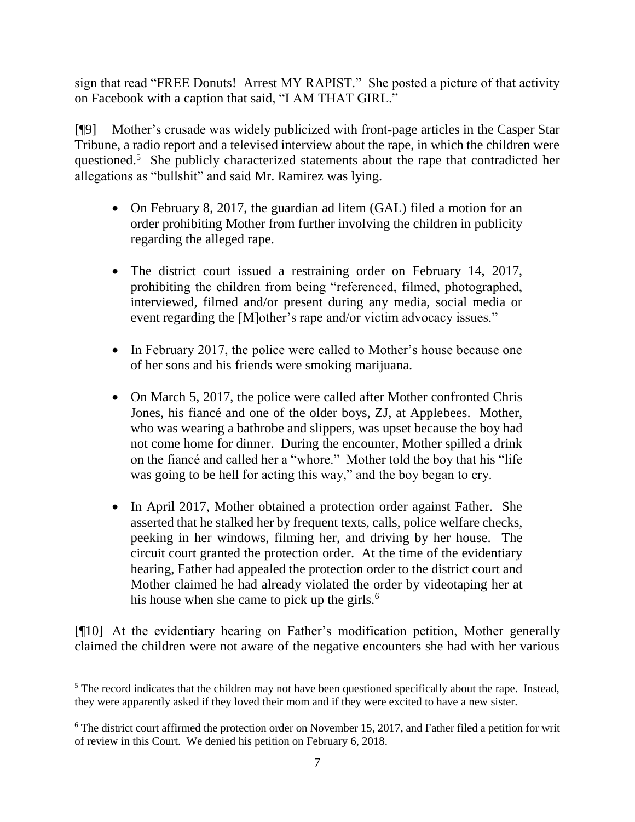sign that read "FREE Donuts! Arrest MY RAPIST." She posted a picture of that activity on Facebook with a caption that said, "I AM THAT GIRL."

[¶9] Mother's crusade was widely publicized with front-page articles in the Casper Star Tribune, a radio report and a televised interview about the rape, in which the children were questioned.<sup>5</sup> She publicly characterized statements about the rape that contradicted her allegations as "bullshit" and said Mr. Ramirez was lying.

- On February 8, 2017, the guardian ad litem (GAL) filed a motion for an order prohibiting Mother from further involving the children in publicity regarding the alleged rape.
- The district court issued a restraining order on February 14, 2017, prohibiting the children from being "referenced, filmed, photographed, interviewed, filmed and/or present during any media, social media or event regarding the [M]other's rape and/or victim advocacy issues."
- In February 2017, the police were called to Mother's house because one of her sons and his friends were smoking marijuana.
- On March 5, 2017, the police were called after Mother confronted Chris Jones, his fiancé and one of the older boys, ZJ, at Applebees. Mother, who was wearing a bathrobe and slippers, was upset because the boy had not come home for dinner. During the encounter, Mother spilled a drink on the fiancé and called her a "whore." Mother told the boy that his "life was going to be hell for acting this way," and the boy began to cry.
- In April 2017, Mother obtained a protection order against Father. She asserted that he stalked her by frequent texts, calls, police welfare checks, peeking in her windows, filming her, and driving by her house. The circuit court granted the protection order. At the time of the evidentiary hearing, Father had appealed the protection order to the district court and Mother claimed he had already violated the order by videotaping her at his house when she came to pick up the girls. $6$

[¶10] At the evidentiary hearing on Father's modification petition, Mother generally claimed the children were not aware of the negative encounters she had with her various

 <sup>5</sup> The record indicates that the children may not have been questioned specifically about the rape. Instead, they were apparently asked if they loved their mom and if they were excited to have a new sister.

<sup>&</sup>lt;sup>6</sup> The district court affirmed the protection order on November 15, 2017, and Father filed a petition for writ of review in this Court. We denied his petition on February 6, 2018.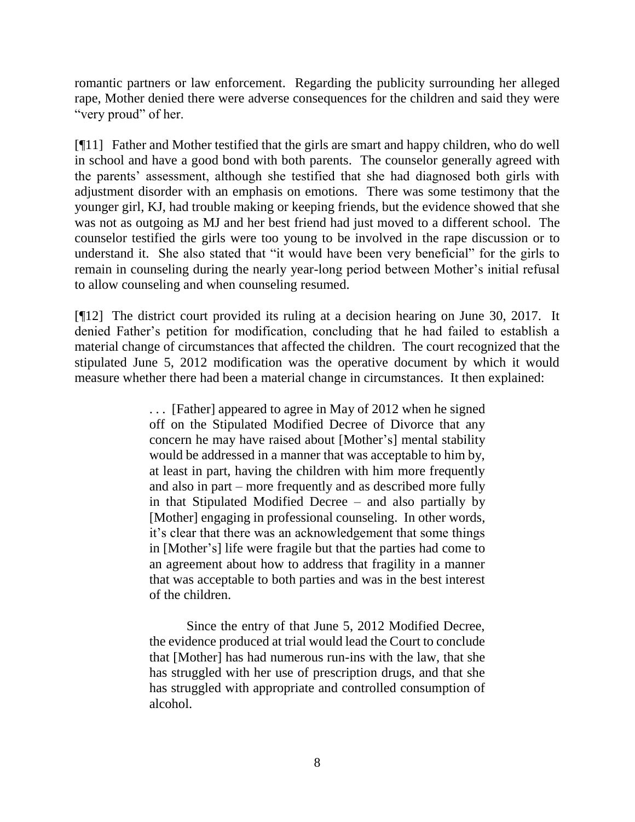romantic partners or law enforcement. Regarding the publicity surrounding her alleged rape, Mother denied there were adverse consequences for the children and said they were "very proud" of her.

[¶11] Father and Mother testified that the girls are smart and happy children, who do well in school and have a good bond with both parents. The counselor generally agreed with the parents' assessment, although she testified that she had diagnosed both girls with adjustment disorder with an emphasis on emotions. There was some testimony that the younger girl, KJ, had trouble making or keeping friends, but the evidence showed that she was not as outgoing as MJ and her best friend had just moved to a different school. The counselor testified the girls were too young to be involved in the rape discussion or to understand it. She also stated that "it would have been very beneficial" for the girls to remain in counseling during the nearly year-long period between Mother's initial refusal to allow counseling and when counseling resumed.

[¶12] The district court provided its ruling at a decision hearing on June 30, 2017. It denied Father's petition for modification, concluding that he had failed to establish a material change of circumstances that affected the children. The court recognized that the stipulated June 5, 2012 modification was the operative document by which it would measure whether there had been a material change in circumstances. It then explained:

> . . . [Father] appeared to agree in May of 2012 when he signed off on the Stipulated Modified Decree of Divorce that any concern he may have raised about [Mother's] mental stability would be addressed in a manner that was acceptable to him by, at least in part, having the children with him more frequently and also in part – more frequently and as described more fully in that Stipulated Modified Decree – and also partially by [Mother] engaging in professional counseling. In other words, it's clear that there was an acknowledgement that some things in [Mother's] life were fragile but that the parties had come to an agreement about how to address that fragility in a manner that was acceptable to both parties and was in the best interest of the children.

> Since the entry of that June 5, 2012 Modified Decree, the evidence produced at trial would lead the Court to conclude that [Mother] has had numerous run-ins with the law, that she has struggled with her use of prescription drugs, and that she has struggled with appropriate and controlled consumption of alcohol.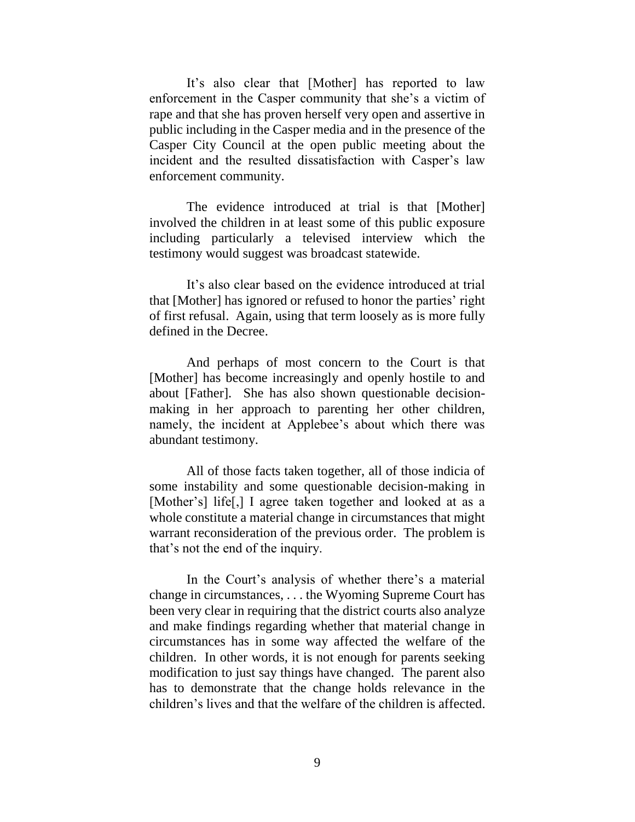It's also clear that [Mother] has reported to law enforcement in the Casper community that she's a victim of rape and that she has proven herself very open and assertive in public including in the Casper media and in the presence of the Casper City Council at the open public meeting about the incident and the resulted dissatisfaction with Casper's law enforcement community.

The evidence introduced at trial is that [Mother] involved the children in at least some of this public exposure including particularly a televised interview which the testimony would suggest was broadcast statewide.

It's also clear based on the evidence introduced at trial that [Mother] has ignored or refused to honor the parties' right of first refusal. Again, using that term loosely as is more fully defined in the Decree.

And perhaps of most concern to the Court is that [Mother] has become increasingly and openly hostile to and about [Father]. She has also shown questionable decisionmaking in her approach to parenting her other children, namely, the incident at Applebee's about which there was abundant testimony.

All of those facts taken together, all of those indicia of some instability and some questionable decision-making in [Mother's] life[,] I agree taken together and looked at as a whole constitute a material change in circumstances that might warrant reconsideration of the previous order. The problem is that's not the end of the inquiry.

In the Court's analysis of whether there's a material change in circumstances, . . . the Wyoming Supreme Court has been very clear in requiring that the district courts also analyze and make findings regarding whether that material change in circumstances has in some way affected the welfare of the children. In other words, it is not enough for parents seeking modification to just say things have changed. The parent also has to demonstrate that the change holds relevance in the children's lives and that the welfare of the children is affected.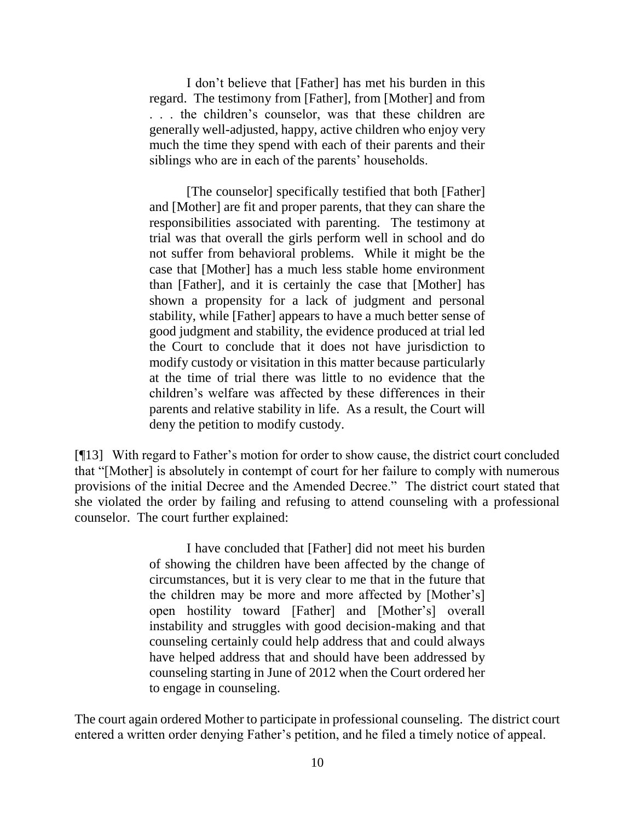I don't believe that [Father] has met his burden in this regard. The testimony from [Father], from [Mother] and from . . . the children's counselor, was that these children are generally well-adjusted, happy, active children who enjoy very much the time they spend with each of their parents and their siblings who are in each of the parents' households.

[The counselor] specifically testified that both [Father] and [Mother] are fit and proper parents, that they can share the responsibilities associated with parenting. The testimony at trial was that overall the girls perform well in school and do not suffer from behavioral problems. While it might be the case that [Mother] has a much less stable home environment than [Father], and it is certainly the case that [Mother] has shown a propensity for a lack of judgment and personal stability, while [Father] appears to have a much better sense of good judgment and stability, the evidence produced at trial led the Court to conclude that it does not have jurisdiction to modify custody or visitation in this matter because particularly at the time of trial there was little to no evidence that the children's welfare was affected by these differences in their parents and relative stability in life. As a result, the Court will deny the petition to modify custody.

[¶13] With regard to Father's motion for order to show cause, the district court concluded that "[Mother] is absolutely in contempt of court for her failure to comply with numerous provisions of the initial Decree and the Amended Decree." The district court stated that she violated the order by failing and refusing to attend counseling with a professional counselor. The court further explained:

> I have concluded that [Father] did not meet his burden of showing the children have been affected by the change of circumstances, but it is very clear to me that in the future that the children may be more and more affected by [Mother's] open hostility toward [Father] and [Mother's] overall instability and struggles with good decision-making and that counseling certainly could help address that and could always have helped address that and should have been addressed by counseling starting in June of 2012 when the Court ordered her to engage in counseling.

The court again ordered Mother to participate in professional counseling. The district court entered a written order denying Father's petition, and he filed a timely notice of appeal.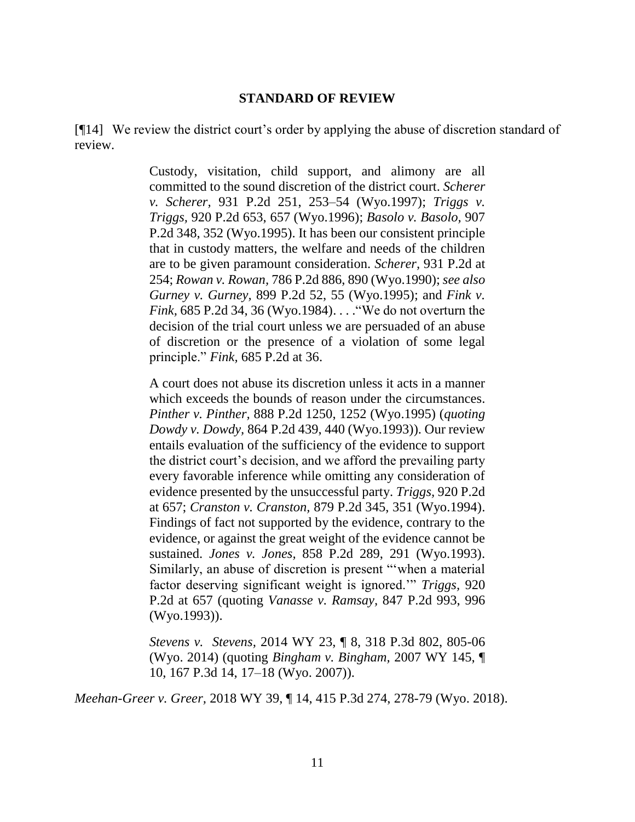#### **STANDARD OF REVIEW**

[¶14] We review the district court's order by applying the abuse of discretion standard of review.

> Custody, visitation, child support, and alimony are all committed to the sound discretion of the district court. *[Scherer](http://www.westlaw.com/Link/Document/FullText?findType=Y&serNum=1997044366&pubNum=661&originatingDoc=Ibb38f6dd9b4811e3a659df62eba144e8&refType=RP&fi=co_pp_sp_661_253&originationContext=document&vr=3.0&rs=cblt1.0&transitionType=DocumentItem&contextData=(sc.Search)#co_pp_sp_661_253)  v. Scherer,* [931 P.2d 251, 253–54 \(Wyo.1997\);](http://www.westlaw.com/Link/Document/FullText?findType=Y&serNum=1997044366&pubNum=661&originatingDoc=Ibb38f6dd9b4811e3a659df62eba144e8&refType=RP&fi=co_pp_sp_661_253&originationContext=document&vr=3.0&rs=cblt1.0&transitionType=DocumentItem&contextData=(sc.Search)#co_pp_sp_661_253) *[Triggs v.](http://www.westlaw.com/Link/Document/FullText?findType=Y&serNum=1996145487&pubNum=661&originatingDoc=Ibb38f6dd9b4811e3a659df62eba144e8&refType=RP&fi=co_pp_sp_661_657&originationContext=document&vr=3.0&rs=cblt1.0&transitionType=DocumentItem&contextData=(sc.Search)#co_pp_sp_661_657)  Triggs,* [920 P.2d 653, 657 \(Wyo.1996\);](http://www.westlaw.com/Link/Document/FullText?findType=Y&serNum=1996145487&pubNum=661&originatingDoc=Ibb38f6dd9b4811e3a659df62eba144e8&refType=RP&fi=co_pp_sp_661_657&originationContext=document&vr=3.0&rs=cblt1.0&transitionType=DocumentItem&contextData=(sc.Search)#co_pp_sp_661_657) *[Basolo v. Basolo,](http://www.westlaw.com/Link/Document/FullText?findType=Y&serNum=1995235374&pubNum=661&originatingDoc=Ibb38f6dd9b4811e3a659df62eba144e8&refType=RP&fi=co_pp_sp_661_352&originationContext=document&vr=3.0&rs=cblt1.0&transitionType=DocumentItem&contextData=(sc.Search)#co_pp_sp_661_352)* 907 [P.2d 348, 352 \(Wyo.1995\).](http://www.westlaw.com/Link/Document/FullText?findType=Y&serNum=1995235374&pubNum=661&originatingDoc=Ibb38f6dd9b4811e3a659df62eba144e8&refType=RP&fi=co_pp_sp_661_352&originationContext=document&vr=3.0&rs=cblt1.0&transitionType=DocumentItem&contextData=(sc.Search)#co_pp_sp_661_352) It has been our consistent principle that in custody matters, the welfare and needs of the children are to be given paramount consideration. *Scherer,* [931 P.2d at](http://www.westlaw.com/Link/Document/FullText?findType=Y&serNum=1997044366&pubNum=661&originatingDoc=Ibb38f6dd9b4811e3a659df62eba144e8&refType=RP&fi=co_pp_sp_661_254&originationContext=document&vr=3.0&rs=cblt1.0&transitionType=DocumentItem&contextData=(sc.Search)#co_pp_sp_661_254)  [254;](http://www.westlaw.com/Link/Document/FullText?findType=Y&serNum=1997044366&pubNum=661&originatingDoc=Ibb38f6dd9b4811e3a659df62eba144e8&refType=RP&fi=co_pp_sp_661_254&originationContext=document&vr=3.0&rs=cblt1.0&transitionType=DocumentItem&contextData=(sc.Search)#co_pp_sp_661_254) *Rowan v. Rowan,* [786 P.2d 886, 890 \(Wyo.1990\);](http://www.westlaw.com/Link/Document/FullText?findType=Y&serNum=1990034244&pubNum=661&originatingDoc=Ibb38f6dd9b4811e3a659df62eba144e8&refType=RP&fi=co_pp_sp_661_890&originationContext=document&vr=3.0&rs=cblt1.0&transitionType=DocumentItem&contextData=(sc.Search)#co_pp_sp_661_890) *see also Gurney v. Gurney,* [899 P.2d 52, 55 \(Wyo.1995\);](http://www.westlaw.com/Link/Document/FullText?findType=Y&serNum=1995150859&pubNum=661&originatingDoc=Ibb38f6dd9b4811e3a659df62eba144e8&refType=RP&fi=co_pp_sp_661_55&originationContext=document&vr=3.0&rs=cblt1.0&transitionType=DocumentItem&contextData=(sc.Search)#co_pp_sp_661_55) and *[Fink v.](http://www.westlaw.com/Link/Document/FullText?findType=Y&serNum=1984138296&pubNum=661&originatingDoc=Ibb38f6dd9b4811e3a659df62eba144e8&refType=RP&fi=co_pp_sp_661_36&originationContext=document&vr=3.0&rs=cblt1.0&transitionType=DocumentItem&contextData=(sc.Search)#co_pp_sp_661_36)  Fink,* [685 P.2d 34, 36 \(Wyo.1984\).](http://www.westlaw.com/Link/Document/FullText?findType=Y&serNum=1984138296&pubNum=661&originatingDoc=Ibb38f6dd9b4811e3a659df62eba144e8&refType=RP&fi=co_pp_sp_661_36&originationContext=document&vr=3.0&rs=cblt1.0&transitionType=DocumentItem&contextData=(sc.Search)#co_pp_sp_661_36) . . ."We do not overturn the decision of the trial court unless we are persuaded of an abuse of discretion or the presence of a violation of some legal principle." *Fink,* [685 P.2d at 36.](http://www.westlaw.com/Link/Document/FullText?findType=Y&serNum=1984138296&pubNum=661&originatingDoc=Ibb38f6dd9b4811e3a659df62eba144e8&refType=RP&fi=co_pp_sp_661_36&originationContext=document&vr=3.0&rs=cblt1.0&transitionType=DocumentItem&contextData=(sc.Search)#co_pp_sp_661_36)

> A court does not abuse its discretion unless it acts in a manner which exceeds the bounds of reason under the circumstances. *Pinther v. Pinther,* [888 P.2d 1250, 1252 \(Wyo.1995\)](http://www.westlaw.com/Link/Document/FullText?findType=Y&serNum=1995028925&pubNum=661&originatingDoc=Ibb38f6dd9b4811e3a659df62eba144e8&refType=RP&fi=co_pp_sp_661_1252&originationContext=document&vr=3.0&rs=cblt1.0&transitionType=DocumentItem&contextData=(sc.Search)#co_pp_sp_661_1252) (*quoting Dowdy v. Dowdy,* [864 P.2d 439, 440 \(Wyo.1993\)\)](http://www.westlaw.com/Link/Document/FullText?findType=Y&serNum=1993210273&pubNum=661&originatingDoc=Ibb38f6dd9b4811e3a659df62eba144e8&refType=RP&fi=co_pp_sp_661_440&originationContext=document&vr=3.0&rs=cblt1.0&transitionType=DocumentItem&contextData=(sc.Search)#co_pp_sp_661_440). Our review entails evaluation of the sufficiency of the evidence to support the district court's decision, and we afford the prevailing party every favorable inference while omitting any consideration of evidence presented by the unsuccessful party. *Triggs,* [920 P.2d](http://www.westlaw.com/Link/Document/FullText?findType=Y&serNum=1996145487&pubNum=661&originatingDoc=Ibb38f6dd9b4811e3a659df62eba144e8&refType=RP&fi=co_pp_sp_661_657&originationContext=document&vr=3.0&rs=cblt1.0&transitionType=DocumentItem&contextData=(sc.Search)#co_pp_sp_661_657)  [at 657;](http://www.westlaw.com/Link/Document/FullText?findType=Y&serNum=1996145487&pubNum=661&originatingDoc=Ibb38f6dd9b4811e3a659df62eba144e8&refType=RP&fi=co_pp_sp_661_657&originationContext=document&vr=3.0&rs=cblt1.0&transitionType=DocumentItem&contextData=(sc.Search)#co_pp_sp_661_657) *Cranston v. Cranston,* [879 P.2d 345, 351 \(Wyo.1994\).](http://www.westlaw.com/Link/Document/FullText?findType=Y&serNum=1994171490&pubNum=661&originatingDoc=Ibb38f6dd9b4811e3a659df62eba144e8&refType=RP&fi=co_pp_sp_661_351&originationContext=document&vr=3.0&rs=cblt1.0&transitionType=DocumentItem&contextData=(sc.Search)#co_pp_sp_661_351) Findings of fact not supported by the evidence, contrary to the evidence, or against the great weight of the evidence cannot be sustained. *Jones v. Jones,* [858 P.2d 289, 291 \(Wyo.1993\).](http://www.westlaw.com/Link/Document/FullText?findType=Y&serNum=1993157101&pubNum=661&originatingDoc=Ibb38f6dd9b4811e3a659df62eba144e8&refType=RP&fi=co_pp_sp_661_291&originationContext=document&vr=3.0&rs=cblt1.0&transitionType=DocumentItem&contextData=(sc.Search)#co_pp_sp_661_291) Similarly, an abuse of discretion is present "'when a material factor deserving significant weight is ignored.'" *[Triggs,](http://www.westlaw.com/Link/Document/FullText?findType=Y&serNum=1996145487&pubNum=661&originatingDoc=Ibb38f6dd9b4811e3a659df62eba144e8&refType=RP&fi=co_pp_sp_661_657&originationContext=document&vr=3.0&rs=cblt1.0&transitionType=DocumentItem&contextData=(sc.Search)#co_pp_sp_661_657)* 920 [P.2d at 657](http://www.westlaw.com/Link/Document/FullText?findType=Y&serNum=1996145487&pubNum=661&originatingDoc=Ibb38f6dd9b4811e3a659df62eba144e8&refType=RP&fi=co_pp_sp_661_657&originationContext=document&vr=3.0&rs=cblt1.0&transitionType=DocumentItem&contextData=(sc.Search)#co_pp_sp_661_657) (quoting *[Vanasse v. Ramsay,](http://www.westlaw.com/Link/Document/FullText?findType=Y&serNum=1993057420&pubNum=661&originatingDoc=Ibb38f6dd9b4811e3a659df62eba144e8&refType=RP&fi=co_pp_sp_661_996&originationContext=document&vr=3.0&rs=cblt1.0&transitionType=DocumentItem&contextData=(sc.Search)#co_pp_sp_661_996)* 847 P.2d 993, 996 [\(Wyo.1993\)\)](http://www.westlaw.com/Link/Document/FullText?findType=Y&serNum=1993057420&pubNum=661&originatingDoc=Ibb38f6dd9b4811e3a659df62eba144e8&refType=RP&fi=co_pp_sp_661_996&originationContext=document&vr=3.0&rs=cblt1.0&transitionType=DocumentItem&contextData=(sc.Search)#co_pp_sp_661_996).

> *Stevens v. Stevens,* 2014 WY 23, ¶ 8, 318 P.3d 802, 805-06 (Wyo. 2014) (quoting *[Bingham v. Bingham,](http://www.westlaw.com/Link/Document/FullText?findType=Y&serNum=2013188468&pubNum=4645&originatingDoc=Ibb38f6dd9b4811e3a659df62eba144e8&refType=RP&fi=co_pp_sp_4645_17&originationContext=document&vr=3.0&rs=cblt1.0&transitionType=DocumentItem&contextData=(sc.Search)#co_pp_sp_4645_17)* 2007 WY 145, ¶ [10, 167 P.3d 14, 17–18 \(Wyo. 2007\)\)](http://www.westlaw.com/Link/Document/FullText?findType=Y&serNum=2013188468&pubNum=4645&originatingDoc=Ibb38f6dd9b4811e3a659df62eba144e8&refType=RP&fi=co_pp_sp_4645_17&originationContext=document&vr=3.0&rs=cblt1.0&transitionType=DocumentItem&contextData=(sc.Search)#co_pp_sp_4645_17).

*Meehan-Greer v. Greer,* 2018 WY 39, ¶ 14, 415 P.3d 274, 278-79 (Wyo. 2018).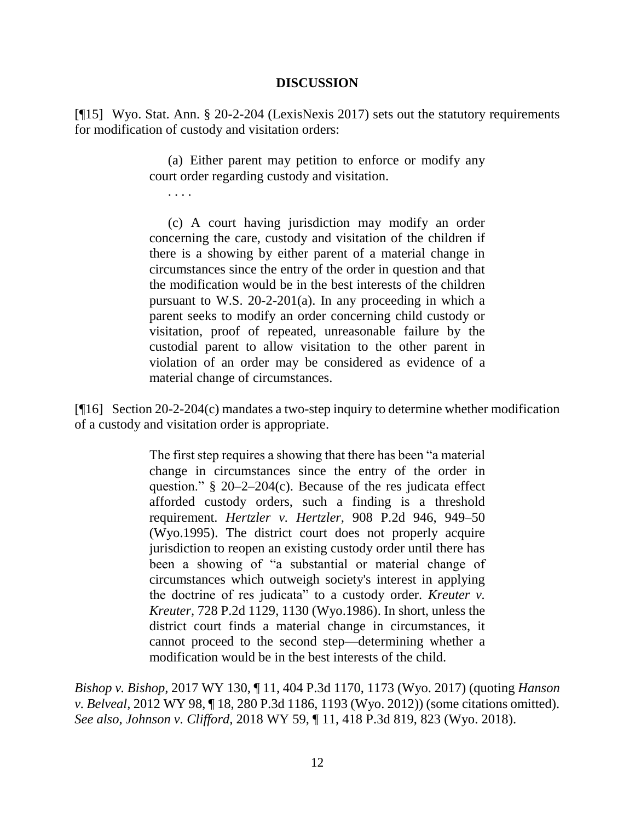#### **DISCUSSION**

[¶15] Wyo. Stat. Ann. § 20-2-204 (LexisNexis 2017) sets out the statutory requirements for modification of custody and visitation orders:

> (a) Either parent may petition to enforce or modify any court order regarding custody and visitation.

. . . .

(c) A court having jurisdiction may modify an order concerning the care, custody and visitation of the children if there is a showing by either parent of a material change in circumstances since the entry of the order in question and that the modification would be in the best interests of the children pursuant to [W.S. 20-2-201\(a\).](http://www.westlaw.com/Find/Default.wl?rs=dfa1.0&vr=2.0&DB=1000377&DocName=WYSTS20-2-201&FindType=L&ReferencePositionType=T&ReferencePosition=SP_8b3b0000958a4) In any proceeding in which a parent seeks to modify an order concerning child custody or visitation, proof of repeated, unreasonable failure by the custodial parent to allow visitation to the other parent in violation of an order may be considered as evidence of a material change of circumstances.

[¶16] Section 20-2-204(c) mandates a two-step inquiry to determine whether modification of a custody and visitation order is appropriate.

> The first step requires a showing that there has been "a material change in circumstances since the entry of the order in question." [§ 20–2–204\(c\).](http://www.westlaw.com/Find/Default.wl?rs=dfa1.0&vr=2.0&DB=1000377&DocName=WYSTS20-2-204&FindType=L&ReferencePositionType=T&ReferencePosition=SP_4b24000003ba5) Because of the res judicata effect afforded custody orders, such a finding is a threshold requirement. *[Hertzler v. Hertzler,](http://www.westlaw.com/Find/Default.wl?rs=dfa1.0&vr=2.0&DB=661&FindType=Y&ReferencePositionType=S&SerialNum=1995246534&ReferencePosition=949)* [908 P.2d 946, 949–50](http://www.westlaw.com/Find/Default.wl?rs=dfa1.0&vr=2.0&DB=661&FindType=Y&ReferencePositionType=S&SerialNum=1995246534&ReferencePosition=949)  [\(Wyo.1995\).](http://www.westlaw.com/Find/Default.wl?rs=dfa1.0&vr=2.0&DB=661&FindType=Y&ReferencePositionType=S&SerialNum=1995246534&ReferencePosition=949) The district court does not properly acquire jurisdiction to reopen an existing custody order until there has been a showing of "a substantial or material change of circumstances which outweigh society's interest in applying the doctrine of res judicata" to a custody order. *[Kreuter v.](http://www.westlaw.com/Find/Default.wl?rs=dfa1.0&vr=2.0&DB=661&FindType=Y&ReferencePositionType=S&SerialNum=1986161117&ReferencePosition=1130)  [Kreuter,](http://www.westlaw.com/Find/Default.wl?rs=dfa1.0&vr=2.0&DB=661&FindType=Y&ReferencePositionType=S&SerialNum=1986161117&ReferencePosition=1130)* [728 P.2d 1129, 1130 \(Wyo.1986\).](http://www.westlaw.com/Find/Default.wl?rs=dfa1.0&vr=2.0&DB=661&FindType=Y&ReferencePositionType=S&SerialNum=1986161117&ReferencePosition=1130) In short, unless the district court finds a material change in circumstances, it cannot proceed to the second step—determining whether a modification would be in the best interests of the child.

*Bishop v. Bishop,* 2017 WY 130, ¶ 11, 404 P.3d 1170, 1173 (Wyo. 2017) (quoting *Hanson v. Belveal,* 2012 WY 98, ¶ 18, 280 P.3d 1186, 1193 (Wyo. 2012)) (some citations omitted). *See also*, *Johnson v. Clifford,* 2018 WY 59, ¶ 11, 418 P.3d 819, 823 (Wyo. 2018).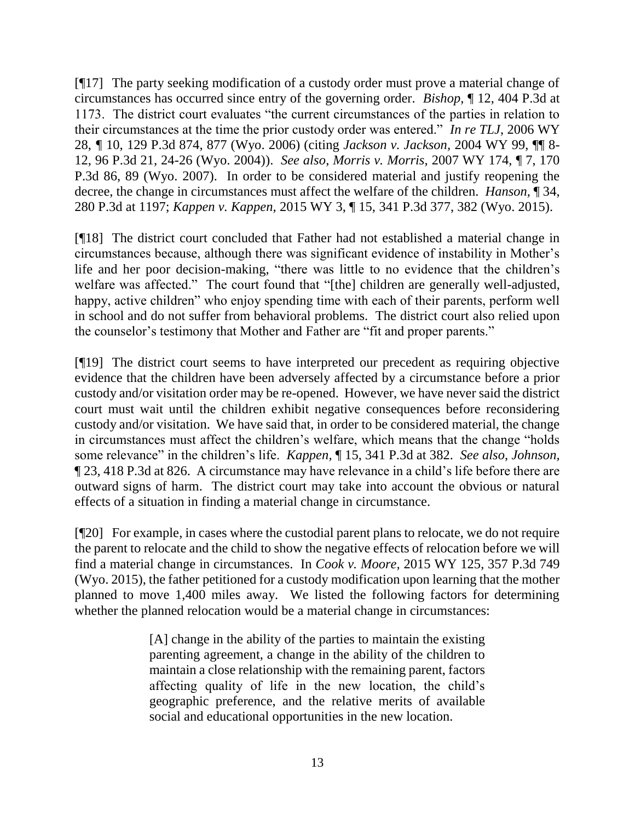[¶17] The party seeking modification of a custody order must prove a material change of circumstances has occurred since entry of the governing order. *Bishop,* ¶ 12, 404 P.3d at 1173. The district court evaluates "the current circumstances of the parties in relation to their circumstances at the time the prior custody order was entered." *In re TLJ*, 2006 WY 28, *¶* 10, 129 P.3d 874, 877 (Wyo. 2006) (citing *[Jackson v. Jackson,](http://www.westlaw.com/Link/Document/FullText?findType=Y&serNum=2004946119&pubNum=0004645&originatingDoc=Ic93ea9d5b39f11da97faf3f66e4b6844&refType=RP&fi=co_pp_sp_4645_24&originationContext=document&vr=3.0&rs=cblt1.0&transitionType=DocumentItem&contextData=(sc.UserEnteredCitation)#co_pp_sp_4645_24)* 2004 WY 99, ¶¶ 8- [12, 96 P.3d 21, 24-26 \(Wyo. 2004\)\)](http://www.westlaw.com/Link/Document/FullText?findType=Y&serNum=2004946119&pubNum=0004645&originatingDoc=Ic93ea9d5b39f11da97faf3f66e4b6844&refType=RP&fi=co_pp_sp_4645_24&originationContext=document&vr=3.0&rs=cblt1.0&transitionType=DocumentItem&contextData=(sc.UserEnteredCitation)#co_pp_sp_4645_24). *See also*, *Morris v. Morris,* 2007 WY 174, ¶ 7, 170 P.3d 86, 89 (Wyo. 2007). In order to be considered material and justify reopening the decree, the change in circumstances must affect the welfare of the children. *Hanson,* ¶ 34, 280 P.3d at 1197; *Kappen v. Kappen,* 2015 WY 3, ¶ 15, 341 P.3d 377, 382 (Wyo. 2015).

[¶18] The district court concluded that Father had not established a material change in circumstances because, although there was significant evidence of instability in Mother's life and her poor decision-making, "there was little to no evidence that the children's welfare was affected." The court found that "[the] children are generally well-adjusted, happy, active children" who enjoy spending time with each of their parents, perform well in school and do not suffer from behavioral problems. The district court also relied upon the counselor's testimony that Mother and Father are "fit and proper parents."

[¶19] The district court seems to have interpreted our precedent as requiring objective evidence that the children have been adversely affected by a circumstance before a prior custody and/or visitation order may be re-opened. However, we have never said the district court must wait until the children exhibit negative consequences before reconsidering custody and/or visitation. We have said that, in order to be considered material, the change in circumstances must affect the children's welfare, which means that the change "holds some relevance" in the children's life. *Kappen,* ¶ 15, 341 P.3d at 382. *See also*, *Johnson,*  ¶ 23, 418 P.3d at 826. A circumstance may have relevance in a child's life before there are outward signs of harm. The district court may take into account the obvious or natural effects of a situation in finding a material change in circumstance.

[¶20] For example, in cases where the custodial parent plans to relocate, we do not require the parent to relocate and the child to show the negative effects of relocation before we will find a material change in circumstances. In *Cook v. Moore,* 2015 WY 125, 357 P.3d 749 (Wyo. 2015), the father petitioned for a custody modification upon learning that the mother planned to move 1,400 miles away. We listed the following factors for determining whether the planned relocation would be a material change in circumstances:

> [A] change in the ability of the parties to maintain the existing parenting agreement, a change in the ability of the children to maintain a close relationship with the remaining parent, factors affecting quality of life in the new location, the child's geographic preference, and the relative merits of available social and educational opportunities in the new location.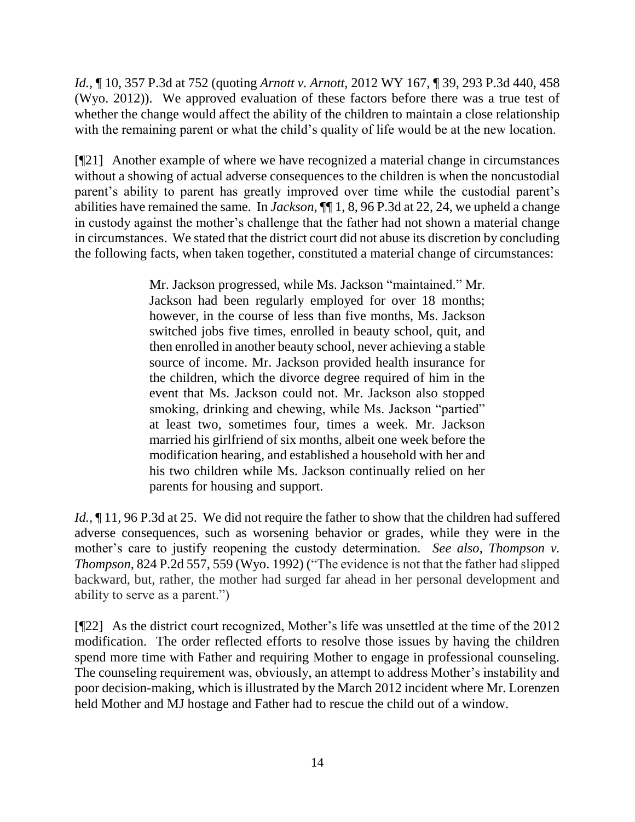*Id.,* ¶ 10, 357 P.3d at 752 (quoting *Arnott v. Arnott,* 2012 WY 167, [¶ 39, 293 P.3d 440, 458](http://www.westlaw.com/Link/Document/FullText?findType=Y&serNum=2029532320&pubNum=0004645&originatingDoc=Id238af175c7f11e5b86bd602cb8781fa&refType=RP&fi=co_pp_sp_4645_458&originationContext=document&vr=3.0&rs=cblt1.0&transitionType=DocumentItem&contextData=(sc.Search)#co_pp_sp_4645_458) (Wyo. 2012)). We approved evaluation of these factors before there was a true test of whether the change would affect the ability of the children to maintain a close relationship with the remaining parent or what the child's quality of life would be at the new location.

[¶21] Another example of where we have recognized a material change in circumstances without a showing of actual adverse consequences to the children is when the noncustodial parent's ability to parent has greatly improved over time while the custodial parent's abilities have remained the same. In *Jackson*, ¶¶ 1, 8, 96 P.3d at 22, 24, we upheld a change in custody against the mother's challenge that the father had not shown a material change in circumstances. We stated that the district court did not abuse its discretion by concluding the following facts, when taken together, constituted a material change of circumstances:

> Mr. Jackson progressed, while Ms. Jackson "maintained." Mr. Jackson had been regularly employed for over 18 months; however, in the course of less than five months, Ms. Jackson switched jobs five times, enrolled in beauty school, quit, and then enrolled in another beauty school, never achieving a stable source of income. Mr. Jackson provided health insurance for the children, which the divorce degree required of him in the event that Ms. Jackson could not. Mr. Jackson also stopped smoking, drinking and chewing, while Ms. Jackson "partied" at least two, sometimes four, times a week. Mr. Jackson married his girlfriend of six months, albeit one week before the modification hearing, and established a household with her and his two children while Ms. Jackson continually relied on her parents for housing and support.

*Id.*,  $\P$  11, 96 P.3d at 25. We did not require the father to show that the children had suffered adverse consequences, such as worsening behavior or grades, while they were in the mother's care to justify reopening the custody determination. *See also, Thompson v. Thompson,* 824 P.2d 557, 559 (Wyo. 1992) ("The evidence is not that the father had slipped backward, but, rather, the mother had surged far ahead in her personal development and ability to serve as a parent.")

[¶22] As the district court recognized, Mother's life was unsettled at the time of the 2012 modification. The order reflected efforts to resolve those issues by having the children spend more time with Father and requiring Mother to engage in professional counseling. The counseling requirement was, obviously, an attempt to address Mother's instability and poor decision-making, which is illustrated by the March 2012 incident where Mr. Lorenzen held Mother and MJ hostage and Father had to rescue the child out of a window.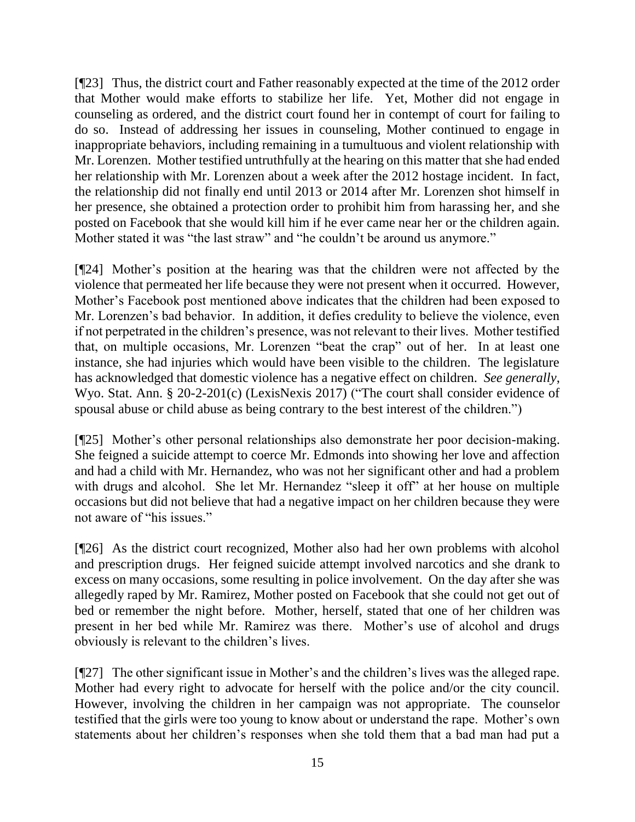[¶23] Thus, the district court and Father reasonably expected at the time of the 2012 order that Mother would make efforts to stabilize her life. Yet, Mother did not engage in counseling as ordered, and the district court found her in contempt of court for failing to do so. Instead of addressing her issues in counseling, Mother continued to engage in inappropriate behaviors, including remaining in a tumultuous and violent relationship with Mr. Lorenzen. Mother testified untruthfully at the hearing on this matter that she had ended her relationship with Mr. Lorenzen about a week after the 2012 hostage incident. In fact, the relationship did not finally end until 2013 or 2014 after Mr. Lorenzen shot himself in her presence, she obtained a protection order to prohibit him from harassing her, and she posted on Facebook that she would kill him if he ever came near her or the children again. Mother stated it was "the last straw" and "he couldn't be around us anymore."

[¶24] Mother's position at the hearing was that the children were not affected by the violence that permeated her life because they were not present when it occurred. However, Mother's Facebook post mentioned above indicates that the children had been exposed to Mr. Lorenzen's bad behavior. In addition, it defies credulity to believe the violence, even if not perpetrated in the children's presence, was not relevant to their lives. Mother testified that, on multiple occasions, Mr. Lorenzen "beat the crap" out of her. In at least one instance, she had injuries which would have been visible to the children. The legislature has acknowledged that domestic violence has a negative effect on children. *See generally*, Wyo. Stat. Ann. § 20-2-201(c) (LexisNexis 2017) ("The court shall consider evidence of spousal abuse or child abuse as being contrary to the best interest of the children.")

[¶25] Mother's other personal relationships also demonstrate her poor decision-making. She feigned a suicide attempt to coerce Mr. Edmonds into showing her love and affection and had a child with Mr. Hernandez, who was not her significant other and had a problem with drugs and alcohol. She let Mr. Hernandez "sleep it off" at her house on multiple occasions but did not believe that had a negative impact on her children because they were not aware of "his issues."

[¶26] As the district court recognized, Mother also had her own problems with alcohol and prescription drugs. Her feigned suicide attempt involved narcotics and she drank to excess on many occasions, some resulting in police involvement. On the day after she was allegedly raped by Mr. Ramirez, Mother posted on Facebook that she could not get out of bed or remember the night before. Mother, herself, stated that one of her children was present in her bed while Mr. Ramirez was there. Mother's use of alcohol and drugs obviously is relevant to the children's lives.

[¶27] The other significant issue in Mother's and the children's lives was the alleged rape. Mother had every right to advocate for herself with the police and/or the city council. However, involving the children in her campaign was not appropriate. The counselor testified that the girls were too young to know about or understand the rape. Mother's own statements about her children's responses when she told them that a bad man had put a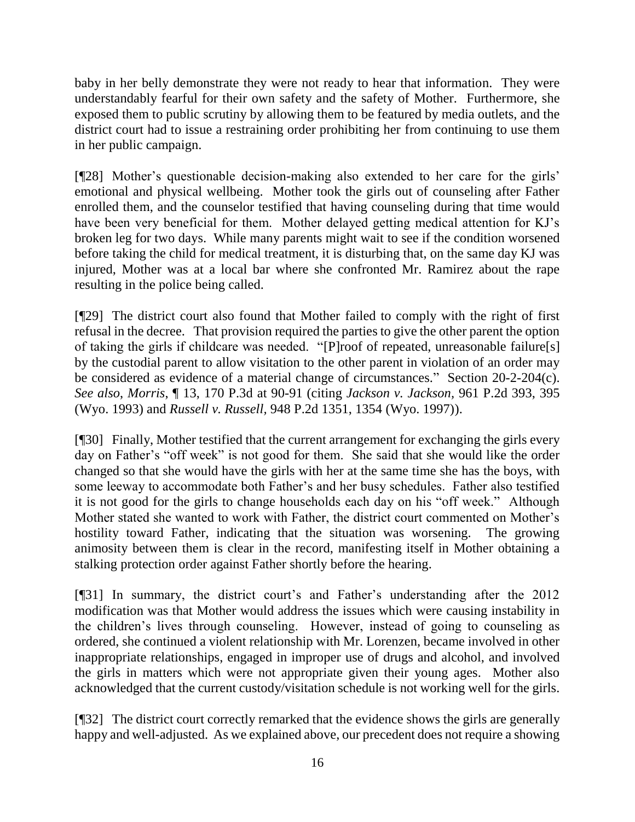baby in her belly demonstrate they were not ready to hear that information. They were understandably fearful for their own safety and the safety of Mother. Furthermore, she exposed them to public scrutiny by allowing them to be featured by media outlets, and the district court had to issue a restraining order prohibiting her from continuing to use them in her public campaign.

[¶28] Mother's questionable decision-making also extended to her care for the girls' emotional and physical wellbeing. Mother took the girls out of counseling after Father enrolled them, and the counselor testified that having counseling during that time would have been very beneficial for them. Mother delayed getting medical attention for KJ's broken leg for two days. While many parents might wait to see if the condition worsened before taking the child for medical treatment, it is disturbing that, on the same day KJ was injured, Mother was at a local bar where she confronted Mr. Ramirez about the rape resulting in the police being called.

[¶29] The district court also found that Mother failed to comply with the right of first refusal in the decree. That provision required the parties to give the other parent the option of taking the girls if childcare was needed. "[P]roof of repeated, unreasonable failure[s] by the custodial parent to allow visitation to the other parent in violation of an order may be considered as evidence of a material change of circumstances." Section [20-2-204\(c\).](http://www.westlaw.com/Link/Document/FullText?findType=L&pubNum=1000377&cite=WYSTS20-2-204&originatingDoc=I20e26970894511dca1e6fa81e64372bf&refType=SP&originationContext=document&vr=3.0&rs=cblt1.0&transitionType=DocumentItem&contextData=(sc.Search)#co_pp_4b24000003ba5) *See also*, *Morris*, ¶ 13, 170 P.3d at 90-91 (citing *Jackson v. Jackson,* [961 P.2d 393,](http://www.westlaw.com/Link/Document/FullText?findType=Y&serNum=1998173028&pubNum=0000661&originatingDoc=I20e26970894511dca1e6fa81e64372bf&refType=RP&fi=co_pp_sp_661_395&originationContext=document&vr=3.0&rs=cblt1.0&transitionType=DocumentItem&contextData=(sc.Search)#co_pp_sp_661_395) 395 [\(Wyo. 1993\)](http://www.westlaw.com/Link/Document/FullText?findType=Y&serNum=1998173028&pubNum=0000661&originatingDoc=I20e26970894511dca1e6fa81e64372bf&refType=RP&fi=co_pp_sp_661_395&originationContext=document&vr=3.0&rs=cblt1.0&transitionType=DocumentItem&contextData=(sc.Search)#co_pp_sp_661_395) and *Russell v. Russell,* [948 P.2d 1351, 1354 \(Wyo. 1997\)\)](http://www.westlaw.com/Link/Document/FullText?findType=Y&serNum=1997237659&pubNum=0000661&originatingDoc=I20e26970894511dca1e6fa81e64372bf&refType=RP&fi=co_pp_sp_661_1354&originationContext=document&vr=3.0&rs=cblt1.0&transitionType=DocumentItem&contextData=(sc.Search)#co_pp_sp_661_1354).

[¶30] Finally, Mother testified that the current arrangement for exchanging the girls every day on Father's "off week" is not good for them. She said that she would like the order changed so that she would have the girls with her at the same time she has the boys, with some leeway to accommodate both Father's and her busy schedules. Father also testified it is not good for the girls to change households each day on his "off week." Although Mother stated she wanted to work with Father, the district court commented on Mother's hostility toward Father, indicating that the situation was worsening. The growing animosity between them is clear in the record, manifesting itself in Mother obtaining a stalking protection order against Father shortly before the hearing.

[¶31] In summary, the district court's and Father's understanding after the 2012 modification was that Mother would address the issues which were causing instability in the children's lives through counseling. However, instead of going to counseling as ordered, she continued a violent relationship with Mr. Lorenzen, became involved in other inappropriate relationships, engaged in improper use of drugs and alcohol, and involved the girls in matters which were not appropriate given their young ages. Mother also acknowledged that the current custody/visitation schedule is not working well for the girls.

[¶32] The district court correctly remarked that the evidence shows the girls are generally happy and well-adjusted. As we explained above, our precedent does not require a showing